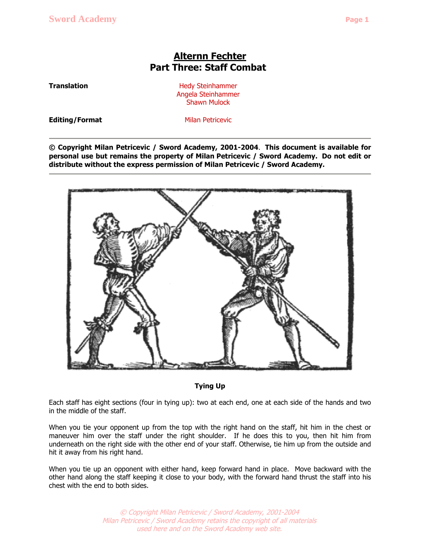## **Alternn Fechter Part Three: Staff Combat**

**Translation Hedy Steinhammer** Angela Steinhammer Shawn Mulock

**Editing/Format** Milan Petricevic

**© Copyright Milan Petricevic / Sword Academy, 2001-2004**. **This document is available for personal use but remains the property of Milan Petricevic / Sword Academy. Do not edit or distribute without the express permission of Milan Petricevic / Sword Academy.**



## **Tying Up**

Each staff has eight sections (four in tying up): two at each end, one at each side of the hands and two in the middle of the staff.

When you tie your opponent up from the top with the right hand on the staff, hit him in the chest or maneuver him over the staff under the right shoulder. If he does this to you, then hit him from underneath on the right side with the other end of your staff. Otherwise, tie him up from the outside and hit it away from his right hand.

When you tie up an opponent with either hand, keep forward hand in place. Move backward with the other hand along the staff keeping it close to your body, with the forward hand thrust the staff into his chest with the end to both sides.

> © Copyright Milan Petricevic / Sword Academy,2001-2004 Milan Petricevic / Sword Academy retains the copyright of all materials used here and on the Sword Academy web site.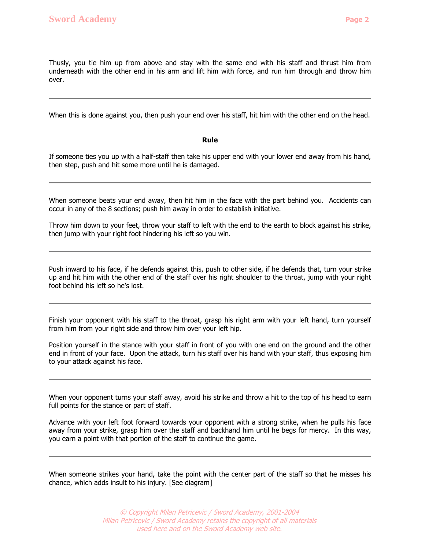Thusly, you tie him up from above and stay with the same end with his staff and thrust him from underneath with the other end in his arm and lift him with force, and run him through and throw him over.

When this is done against you, then push your end over his staff, hit him with the other end on the head.

**Rule**

If someone ties you up with a half-staff then take his upper end with your lower end away from his hand, then step, push and hit some more until he is damaged.

When someone beats your end away, then hit him in the face with the part behind you. Accidents can occur in any of the 8 sections; push him away in order to establish initiative.

Throw him down to your feet, throw your staff to left with the end to the earth to block against his strike, then jump with your right foot hindering his left so you win.

Push inward to his face, if he defends against this, push to other side, if he defends that, turn your strike up and hit him with the other end of the staff over his right shoulder to the throat, jump with your right foot behind his left so he's lost.

Finish your opponent with his staff to the throat, grasp his right arm with your left hand, turn yourself from him from your right side and throw him over your left hip.

Position yourself in the stance with your staff in front of you with one end on the ground and the other end in front of your face. Upon the attack, turn his staff over his hand with your staff, thus exposing him to your attack against his face.

When your opponent turns your staff away, avoid his strike and throw a hit to the top of his head to earn full points for the stance or part of staff.

Advance with your left foot forward towards your opponent with a strong strike, when he pulls his face away from your strike, grasp him over the staff and backhand him until he begs for mercy. In this way, you earn a point with that portion of the staff to continue the game.

When someone strikes your hand, take the point with the center part of the staff so that he misses his chance, which adds insult to his injury. [See diagram]

> © Copyright Milan Petricevic / Sword Academy,2001-2004 Milan Petricevic / Sword Academy retains the copyright of all materials used here and on the Sword Academy web site.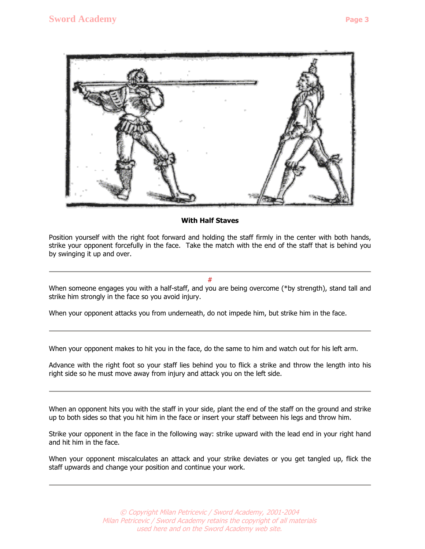

## **With Half Staves**

Position yourself with the right foot forward and holding the staff firmly in the center with both hands, strike your opponent forcefully in the face. Take the match with the end of the staff that is behind you by swinging it up and over.

 $\#$  and  $\#$  and  $\#$  and  $\#$  and  $\#$ 

When someone engages you with a half-staff, and you are being overcome (\*by strength), stand tall and strike him strongly in the face so you avoid injury.

When your opponent attacks you from underneath, do not impede him, but strike him in the face.

When your opponent makes to hit you in the face, do the same to him and watch out for his left arm.

Advance with the right foot so your staff lies behind you to flick a strike and throw the length into his right side so he must move away from injury and attack you on the left side.

When an opponent hits you with the staff in your side, plant the end of the staff on the ground and strike up to both sides so that you hit him in the face or insert your staff between his legs and throw him.

Strike your opponent in the face in the following way: strike upward with the lead end in your right hand and hit him in the face.

When your opponent miscalculates an attack and your strike deviates or you get tangled up, flick the staff upwards and change your position and continue your work.